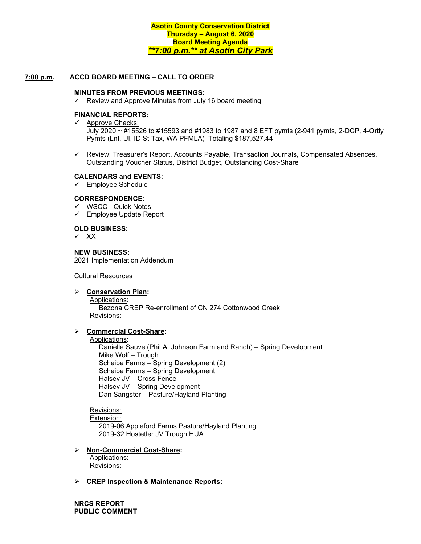### **7:00 p.m. ACCD BOARD MEETING – CALL TO ORDER**

#### **MINUTES FROM PREVIOUS MEETINGS:**

 $\checkmark$  Review and Approve Minutes from July 16 board meeting

## **FINANCIAL REPORTS:**

- $\checkmark$  Approve Checks: July 2020 ~ #15526 to #15593 and #1983 to 1987 and 8 EFT pymts (2-941 pymts, 2-DCP, 4-Qrtly Pymts (Lnl, UI, ID St Tax, WA PFMLA) Totaling \$187,527.44
- $\checkmark$  Review: Treasurer's Report, Accounts Payable, Transaction Journals, Compensated Absences, Outstanding Voucher Status, District Budget, Outstanding Cost-Share

#### **CALENDARS and EVENTS:**

 $\checkmark$  Employee Schedule

#### **CORRESPONDENCE:**

- $\checkmark$  WSCC Quick Notes
- Employee Update Report

#### **OLD BUSINESS:**

 $\checkmark$  XX

#### **NEW BUSINESS:**

2021 Implementation Addendum

Cultural Resources

#### **Conservation Plan:**

Applications: Bezona CREP Re-enrollment of CN 274 Cottonwood Creek

Revisions:

#### **Commercial Cost-Share:**

#### Applications:

Danielle Sauve (Phil A. Johnson Farm and Ranch) – Spring Development Mike Wolf – Trough Scheibe Farms – Spring Development (2) Scheibe Farms – Spring Development Halsey JV – Cross Fence Halsey JV – Spring Development Dan Sangster – Pasture/Hayland Planting

Revisions: Extension: 2019-06 Appleford Farms Pasture/Hayland Planting 2019-32 Hostetler JV Trough HUA

#### **Non-Commercial Cost-Share:**

Applications: Revisions:

#### **CREP Inspection & Maintenance Reports:**

**NRCS REPORT PUBLIC COMMENT**